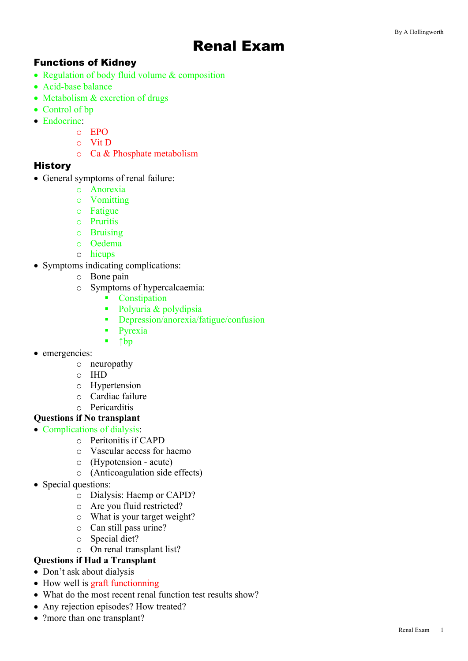# Renal Exam

### Functions of Kidney

- Regulation of body fluid volume & composition
- Acid-base balance
- Metabolism & excretion of drugs
- Control of bp
- Endocrine:
	- o EPO
	- o Vit D
	- o Ca & Phosphate metabolism

#### **History**

- General symptoms of renal failure:
	- o Anorexia
	- o Vomitting
	- o Fatigue
	- o Pruritis
	- o Bruising
	- o Oedema
	- o hicups
- Symptoms indicating complications:
	- o Bone pain
	- o Symptoms of hypercalcaemia:
		- Constipation
		- Polyuria & polydipsia
		- § Depression/anorexia/fatigue/confusion
		- Pyrexia
		- § ↑bp
- emergencies:
	- o neuropathy
	- o IHD
	- o Hypertension
	- o Cardiac failure
	- o Pericarditis

## **Questions if No transplant**

#### • Complications of dialysis:

- o Peritonitis if CAPD
- o Vascular access for haemo
- o (Hypotension acute)
- o (Anticoagulation side effects)
- Special questions:
	- o Dialysis: Haemp or CAPD?
	- o Are you fluid restricted?
	- o What is your target weight?
	- o Can still pass urine?
	- o Special diet?
	- o On renal transplant list?
- **Questions if Had a Transplant**
- Don't ask about dialysis
- How well is graft functionning
- What do the most recent renal function test results show?
- Any rejection episodes? How treated?
- ?more than one transplant?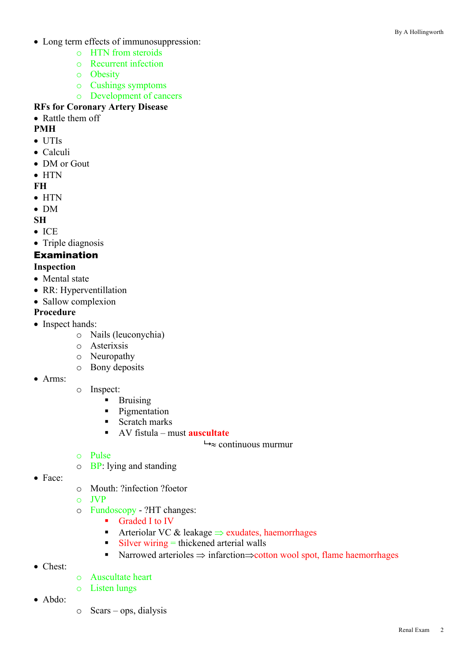- Long term effects of immunosuppression:
	- o HTN from steroids
	- o Recurrent infection
	- o Obesity
	- o Cushings symptoms
	- o Development of cancers
- **RFs for Coronary Artery Disease**
- Rattle them off

## **PMH**

- UTIs
- Calculi
- DM or Gout
- HTN

#### **FH**

- HTN
- DM
- **SH**
- ICE
- Triple diagnosis

## Examination

#### **Inspection**

- Mental state
- RR: Hyperventillation
- Sallow complexion

## **Procedure**

- Inspect hands:
	- o Nails (leuconychia)
	- o Asterixsis
	- o Neuropathy
	- o Bony deposits
- Arms:
- o Inspect:
	- § Bruising
	- Pigmentation
	- Scratch marks
	- § AV fistula must **auscultate**
		- $\rightarrow \approx$  continuous murmur

- o Pulse
- o BP: lying and standing
- Face:
- o Mouth: ?infection ?foetor
- o JVP
- o Fundoscopy ?HT changes:
	- Graded I to IV
	- Arteriolar VC & leakage  $\Rightarrow$  exudates, haemorrhages
	- $\blacksquare$  Silver wiring  $=$  thickened arterial walls
	- Narrowed arterioles  $\Rightarrow$  infarction $\Rightarrow$ cotton wool spot, flame haemorrhages
- Chest:
- o Auscultate heart
- o Listen lungs
- Abdo:
- o Scars ops, dialysis